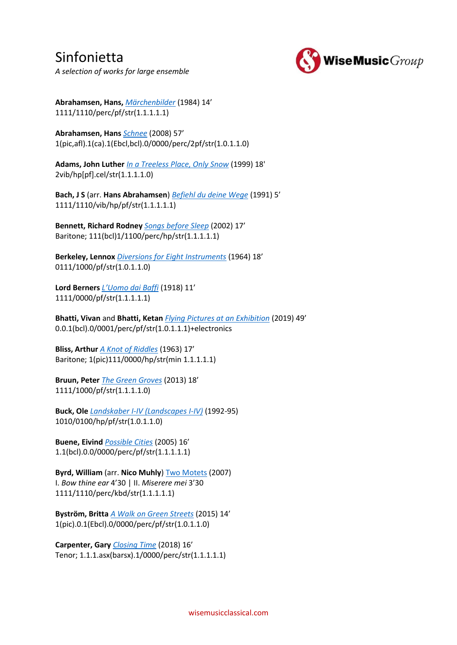### Sinfonietta *A selection of works for large ensemble*



**Abrahamsen, Hans,** *[Märchenbilder](https://www.wisemusicclassical.com/work/21781/Marchenbilder--Hans-Abrahamsen/)* (1984) 14'

1111/1110/perc/pf/str(1.1.1.1.1)

**Abrahamsen, Hans** *[Schnee](https://www.wisemusicclassical.com/work/34990/Schnee--Hans-Abrahamsen/)* (2008) 57' 1(pic,afl).1(ca).1(Ebcl,bcl).0/0000/perc/2pf/str(1.0.1.1.0)

**Adams, John Luther** *[In a Treeless Place, Only Snow](https://www.wisemusicclassical.com/work/57044/In-a-Treeless-Place-Only-Snow--John-Luther-Adams/)* (1999) 18' 2vib/hp[pf].cel/str(1.1.1.1.0)

**Bach, J S** (arr. **Hans Abrahamsen**) *[Befiehl du deine Wege](https://www.wisemusicclassical.com/work/46182/BachAbrahamsen-Befiehl-du-deine-Wege--Johann-Sebastian-Bach/)* (1991) 5' 1111/1110/vib/hp/pf/str(1.1.1.1.1)

**Bennett, Richard Rodney** *[Songs before Sleep](https://www.wisemusicclassical.com/work/14277/Songs-before-Sleep-chamber-orchestra-version--Richard-Rodney-Bennett/)* (2002) 17' Baritone; 111(bcl)1/1100/perc/hp/str(1.1.1.1.1)

**Berkeley, Lennox** *[Diversions for Eight Instruments](https://www.wisemusicclassical.com/work/8244/Diversions-for-Eight-Instruments--Lennox-Berkeley/)* (1964) 18' 0111/1000/pf/str(1.0.1.1.0)

**Lord Berners** *[L'Uomo dai Baffi](https://www.wisemusicclassical.com/work/10214/LUomo-dai-Baffi--Lord-Berners/)* (1918) 11' 1111/0000/pf/str(1.1.1.1.1)

**Bhatti, Vivan** and **Bhatti, Ketan** *[Flying Pictures at an Exhibition](https://www.wisemusicclassical.com/work/59845/Flying-Pictures-at-an-Exhibition--Vivan-Bhatti--Ketan-Bhatti/)* (2019) 49' 0.0.1(bcl).0/0001/perc/pf/str(1.0.1.1.1)+electronics

**Bliss, Arthur** *[A Knot of Riddles](https://www.wisemusicclassical.com/work/7496/A-Knot-of-Riddles--Arthur-Bliss/)* (1963) 17' Baritone; 1(pic)111/0000/hp/str(min 1.1.1.1.1)

**Bruun, Peter** *[The Green Groves](https://www.wisemusicclassical.com/work/48963/The-Green-Groves--Peter-Bruun/)* (2013) 18' 1111/1000/pf/str(1.1.1.1.0)

**Buck, Ole** *[Landskaber I-IV \(Landscapes I-IV\)](https://www.wisemusicclassical.com/work/22129/Landskaber-I--Ole-Buck/)* (1992-95) 1010/0100/hp/pf/str(1.0.1.1.0)

**Buene, Eivind** *[Possible Cities](https://www.wisemusicclassical.com/work/57001/Possible-Cities--Eivind-Buene/)* (2005) 16' 1.1(bcl).0.0/0000/perc/pf/str(1.1.1.1.1)

**Byrd, William** (arr. **Nico Muhly**) [Two Motets](https://www.wisemusicclassical.com/work/43066/) (2007) I. *Bow thine ear* 4'30 | II. *Miserere mei* 3'30 1111/1110/perc/kbd/str(1.1.1.1.1)

**Byström, Britta** *[A Walk on Green Streets](https://www.wisemusicclassical.com/work/56229/A-Walk-on-Green-Streets--Britta-Bystr%C3%B6m/)* (2015) 14' 1(pic).0.1(Ebcl).0/0000/perc/pf/str(1.0.1.1.0)

**Carpenter, Gary** *[Closing Time](https://www.wisemusicclassical.com/work/58453/Closing-Time--Gary-Carpenter/)* (2018) 16' Tenor; 1.1.1.asx(barsx).1/0000/perc/str(1.1.1.1.1)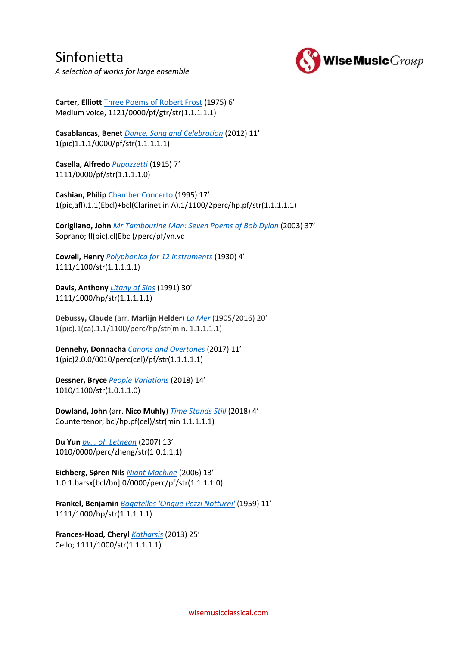

*A selection of works for large ensemble*

**Carter, Elliott** [Three Poems of Robert Frost](https://www.wisemusicclassical.com/work/26726/Three-Poems-of-Robert-Frost--Elliott-Carter/) (1975) 6' Medium voice, 1121/0000/pf/gtr/str(1.1.1.1.1)

**Casablancas, Benet** *[Dance, Song and Celebration](https://www.wisemusicclassical.com/work/47957/Dance-Song-and-Celebration--Benet-Casablancas/)* (2012) 11' 1(pic)1.1.1/0000/pf/str(1.1.1.1.1)

**Casella, Alfredo** *[Pupazzetti](https://www.wisemusicclassical.com/work/10244/Pupazzetti--Alfredo-Casella/)* (1915) 7' 1111/0000/pf/str(1.1.1.1.0)

**Cashian, Philip** [Chamber Concerto](https://www.wisemusicclassical.com/work/58461/Chamber-Concerto--Philip-Cashian/) (1995) 17' 1(pic,afl).1.1(Ebcl)+bcl(Clarinet in A).1/1100/2perc/hp.pf/str(1.1.1.1.1)

**Corigliano, John** *[Mr Tambourine Man: Seven Poems of Bob Dylan](https://www.wisemusicclassical.com/work/45011/Mr-Tambourine-Man-Seven-Poems-of-Bob-Dylan-for-soprano-and-chamber-ensemble--John-Corigliano/)* (2003) 37' Soprano; fl(pic).cl(Ebcl)/perc/pf/vn.vc

**Cowell, Henry** *[Polyphonica for 12 instruments](https://www.wisemusicclassical.com/work/27028/Polyphonica-for-12-instruments-or-chamber-orchestra--Henry-Cowell/)* (1930) 4' 1111/1100/str(1.1.1.1.1)

**Davis, Anthony** *[Litany of Sins](https://www.wisemusicclassical.com/work/27239/Litany-of-Sins--Anthony-Davis/)* (1991) 30' 1111/1000/hp/str(1.1.1.1.1)

**Debussy, Claude** (arr. **Marlijn Helder**) *[La Mer](https://www.wisemusicclassical.com/work/58246/La-Mer--Claude-Debussy/)* (1905/2016) 20' 1(pic).1(ca).1.1/1100/perc/hp/str(min. 1.1.1.1.1)

**Dennehy, Donnacha** *[Canons and Overtones](https://www.wisemusicclassical.com/work/57650/Canons-and-Overtones--Donnacha-Dennehy/)* (2017) 11' 1(pic)2.0.0/0010/perc(cel)/pf/str(1.1.1.1.1)

**Dessner, Bryce** *[People Variations](https://www.wisemusicclassical.com/work/59308/People-Variations--Bryce-Dessner/)* (2018) 14' 1010/1100/str(1.0.1.1.0)

**Dowland, John** (arr. **Nico Muhly**) *[Time Stands Still](https://www.wisemusicclassical.com/work/59189/Time-Stands-Still--John-Dowland/)* (2018) 4' Countertenor; bcl/hp.pf(cel)/str(min 1.1.1.1.1)

**Du Yun** *[by… of, Lethean](http://www.wisemusicclassical.com/composer/work/60586)* (2007) 13' 1010/0000/perc/zheng/str(1.0.1.1.1)

**Eichberg, Søren Nils** *[Night Machine](https://www.wisemusicclassical.com/work/46870/Night-Machine--S%C3%B8ren-Nils-Eichberg/)* (2006) 13' 1.0.1.barsx[bcl/bn].0/0000/perc/pf/str(1.1.1.1.0)

**Frankel, Benjamin** *[Bagatelles 'Cinque Pezzi Notturni'](https://www.wisemusicclassical.com/work/11037/Bagatelles-Cinque-Pezzi-Notturni--Benjamin-Frankel/)* (1959) 11' 1111/1000/hp/str(1.1.1.1.1)

**Frances-Hoad, Cheryl** *[Katharsis](https://www.wisemusicclassical.com/work/58038/Katharsis--Cheryl-Frances-Hoad/)* (2013) 25' Cello; 1111/1000/str(1.1.1.1.1)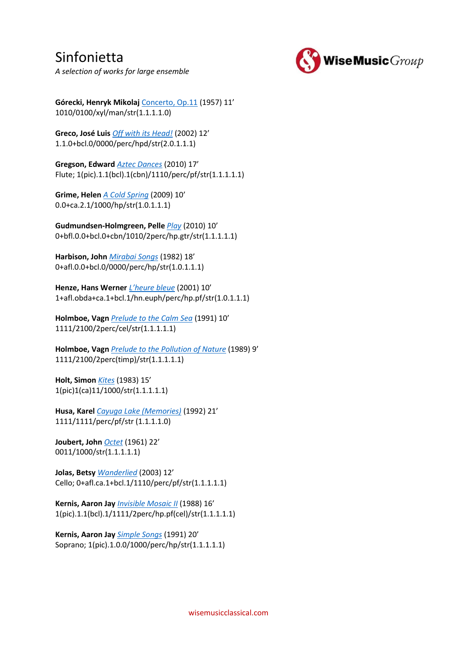

*A selection of works for large ensemble*

**Górecki, Henryk Mikolaj** [Concerto, Op.11](https://www.wisemusicclassical.com/work/7923/Concerto--Henryk-Mikolaj-G%C3%B3recki/) (1957) 11' 1010/0100/xyl/man/str(1.1.1.1.0)

**Greco, José Luis** *[Off with its Head!](https://www.wisemusicclassical.com/work/56196/Off-with-its-Head--Jos%C3%A9-Luis-Greco/)* (2002) 12' 1.1.0+bcl.0/0000/perc/hpd/str(2.0.1.1.1)

**Gregson, Edward** *[Aztec Dances](https://www.wisemusicclassical.com/work/48354/Aztec-Dances-concerto-for-flute-and-ensemble--Edward-Gregson/)* (2010) 17' Flute; 1(pic).1.1(bcl).1(cbn)/1110/perc/pf/str(1.1.1.1.1)

**Grime, Helen** *[A Cold Spring](https://www.wisemusicclassical.com/work/45221/A-Cold-Spring--Helen-Grime/)* (2009) 10' 0.0+ca.2.1/1000/hp/str(1.0.1.1.1)

**Gudmundsen-Holmgreen, Pelle** *[Play](https://www.wisemusicclassical.com/work/44980/Play--Pelle-Gudmundsen-Holmgreen/)* (2010) 10' 0+bfl.0.0+bcl.0+cbn/1010/2perc/hp.gtr/str(1.1.1.1.1)

**Harbison, John** *[Mirabai Songs](https://www.wisemusicclassical.com/work/24207/Mirabai-Songs--John-Harbison/)* (1982) 18' 0+afl.0.0+bcl.0/0000/perc/hp/str(1.0.1.1.1)

**Henze, Hans Werner** *[L'heure bleue](https://www.wisemusicclassical.com/work/13075/Lheure-bleue--Hans-Werner-Henze/)* (2001) 10' 1+afl.obda+ca.1+bcl.1/hn.euph/perc/hp.pf/str(1.0.1.1.1)

**Holmboe, Vagn** *[Prelude to the Calm Sea](https://www.wisemusicclassical.com/work/21539/Prelude-to-the-Calm-Sea--Vagn-Holmboe/)* (1991) 10' 1111/2100/2perc/cel/str(1.1.1.1.1)

**Holmboe, Vagn** *[Prelude to the Pollution of Nature](https://www.wisemusicclassical.com/work/21537/Prelude-to-the-Pollution-of-Nature--Vagn-Holmboe/)* (1989) 9' 1111/2100/2perc(timp)/str(1.1.1.1.1)

**Holt, Simon** *[Kites](https://www.wisemusicclassical.com/work/13134/Kites--Simon-Holt/)* (1983) 15' 1(pic)1(ca)11/1000/str(1.1.1.1.1)

**Husa, Karel** *[Cayuga Lake \(Memories\)](https://www.wisemusicclassical.com/work/29160/Cayuga-Lake-Memories--Karel-Husa/)* (1992) 21' 1111/1111/perc/pf/str (1.1.1.1.0)

**Joubert, John** *[Octet](https://www.wisemusicclassical.com/work/8613/Octet--John-Joubert/)* (1961) 22' 0011/1000/str(1.1.1.1.1)

**Jolas, Betsy** *[Wanderlied](https://www.wisemusicclassical.com/work/50886/Wanderlied--Betsy-Jolas/)* (2003) 12' Cello; 0+afl.ca.1+bcl.1/1110/perc/pf/str(1.1.1.1.1)

**Kernis, Aaron Jay** *[Invisible Mosaic II](https://www.wisemusicclassical.com/work/29537/Invisible-Mosaic-II--Aaron-Jay-Kernis/)* (1988) 16' 1(pic).1.1(bcl).1/1111/2perc/hp.pf(cel)/str(1.1.1.1.1)

**Kernis, Aaron Jay** *[Simple Songs](https://www.wisemusicclassical.com/work/34951/Simple-Songs-soprano-and-ensemble--Aaron-Jay-Kernis/)* (1991) 20' Soprano; 1(pic).1.0.0/1000/perc/hp/str(1.1.1.1.1)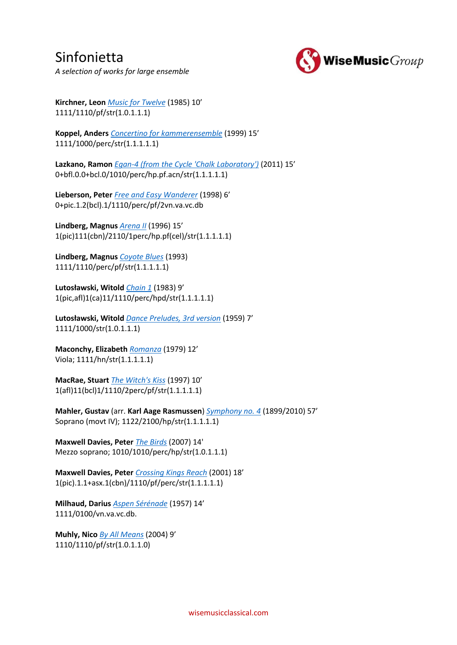Sinfonietta *A selection of works for large ensemble*



**Kirchner, Leon** *[Music for Twelve](https://www.wisemusicclassical.com/work/29655/Music-for-Twelve--Leon-Kirchner/)* (1985) 10' 1111/1110/pf/str(1.0.1.1.1)

**Koppel, Anders** *[Concertino for kammerensemble](https://www.wisemusicclassical.com/work/22235/Concertino-for-kammerensemble--Anders-Koppel/)* (1999) 15' 1111/1000/perc/str(1.1.1.1.1)

**Lazkano, Ramon** *[Egan-4 \(from the Cycle 'Chalk Laboratory'\)](https://www.wisemusicclassical.com/work/58710/Egan-4-from-the-Cycle-Chalk-Laboratory--Ramon-Lazkano/)* (2011) 15' 0+bfl.0.0+bcl.0/1010/perc/hp.pf.acn/str(1.1.1.1.1)

**Lieberson, Peter** *[Free and Easy Wanderer](https://www.wisemusicclassical.com/work/30208/Free-and-Easy-Wanderer--Peter-Lieberson/)* (1998) 6' 0+pic.1.2(bcl).1/1110/perc/pf/2vn.va.vc.db

**Lindberg, Magnus** *[Arena II](https://www.wisemusicclassical.com/work/7691/Arena-II--Magnus-Lindberg/)* (1996) 15' 1(pic)111(cbn)/2110/1perc/hp.pf(cel)/str(1.1.1.1.1)

**Lindberg, Magnus** *[Coyote Blues](https://www.wisemusicclassical.com/work/1342/Coyote-Blues--Magnus-Lindberg/)* (1993) 1111/1110/perc/pf/str(1.1.1.1.1)

**Lutosławski, Witold** *[Chain 1](https://www.wisemusicclassical.com/work/7728/Chain-1-Lancuch-1--Witold-Lutos%C5%82awski/)* (1983) 9' 1(pic,afl)1(ca)11/1110/perc/hpd/str(1.1.1.1.1)

**Lutosławski, Witold** *[Dance Preludes, 3rd version](https://www.wisemusicclassical.com/work/7729/Dance-Preludes-Preludia-taneczne-3rd-version--Witold-Lutos%C5%82awski/)* (1959) 7' 1111/1000/str(1.0.1.1.1)

**Maconchy, Elizabeth** *[Romanza](https://www.wisemusicclassical.com/work/8348/Romanza--Elizabeth-Maconchy/)* (1979) 12' Viola; 1111/hn/str(1.1.1.1.1)

**MacRae, Stuart** *[The Witch's Kiss](https://www.wisemusicclassical.com/work/8128/The-Witchs-Kiss--Stuart-MacRae/)* (1997) 10' 1(afl)11(bcl)1/1110/2perc/pf/str(1.1.1.1.1)

**Mahler, Gustav** (arr. **Karl Aage Rasmussen**) *[Symphony no. 4](https://www.wisemusicclassical.com/work/47197/Gustav-Mahler-Symphony-no-4--Gustav-Mahler/)* (1899/2010) 57' Soprano (movt IV); 1122/2100/hp/str(1.1.1.1.1)

**Maxwell Davies, Peter** *[The Birds](https://www.wisemusicclassical.com/work/35779/The-Birds--Peter-Maxwell-Davies/)* (2007) 14' Mezzo soprano; 1010/1010/perc/hp/str(1.0.1.1.1)

**Maxwell Davies, Peter** *[Crossing Kings Reach](https://www.wisemusicclassical.com/work/13531/Crossing-Kings-Reach--Peter-Maxwell-Davies/)* (2001) 18' 1(pic).1.1+asx.1(cbn)/1110/pf/perc/str(1.1.1.1.1)

**Milhaud, Darius** *[Aspen Sérénade](https://www.wisemusicclassical.com/work/51331/Aspen-Serenade--Darius-Milhaud/)* (1957) 14' 1111/0100/vn.va.vc.db.

**Muhly, Nico** *[By All Means](https://www.wisemusicclassical.com/work/34808/By-All-Means--Nico-Muhly/)* (2004) 9' 1110/1110/pf/str(1.0.1.1.0)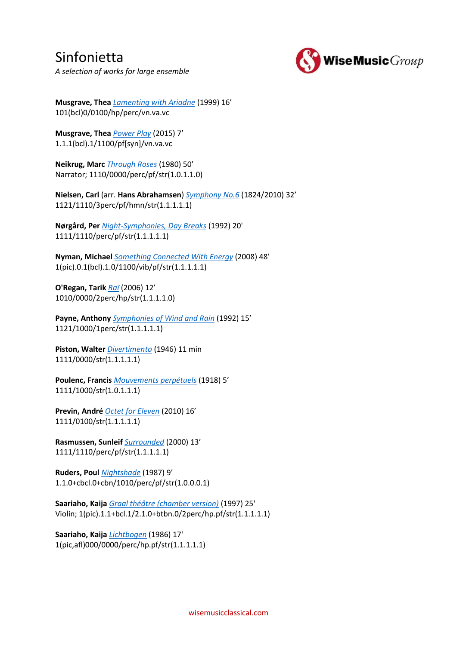

*A selection of works for large ensemble*

**Musgrave, Thea** *[Lamenting with Ariadne](https://www.wisemusicclassical.com/work/11836/Lamenting-with-Ariadne--Thea-Musgrave/)* (1999) 16' 101(bcl)0/0100/hp/perc/vn.va.vc

**Musgrave, Thea** *[Power Play](https://www.wisemusicclassical.com/work/54642/Power-Play--Thea-Musgrave/)* (2015) 7' 1.1.1(bcl).1/1100/pf[syn]/vn.va.vc

**Neikrug, Marc** *[Through Roses](https://www.wisemusicclassical.com/work/13526/Through-Roses--Marc-Neikrug/)* (1980) 50' Narrator; 1110/0000/perc/pf/str(1.0.1.1.0)

**Nielsen, Carl** (arr. **Hans Abrahamsen**) *[Symphony No.6](https://www.wisemusicclassical.com/work/46122/NielsenAbrahamsen-Symfoni-Nr-6--Carl-Nielsen/)* (1824/2010) 32' 1121/1110/3perc/pf/hmn/str(1.1.1.1.1)

**Nørgård, Per** *[Night-Symphonies, Day Breaks](https://www.wisemusicclassical.com/work/21637/Night-Symphonies-Day-Breaks--Per-N%C3%B8rg%C3%A5rd/)* (1992) 20' 1111/1110/perc/pf/str(1.1.1.1.1)

**Nyman, Michael** *[Something Connected With Energy](https://www.wisemusicclassical.com/work/36965/Something-Connected-With-Energy--Michael-Nyman/)* (2008) 48' 1(pic).0.1(bcl).1.0/1100/vib/pf/str(1.1.1.1.1)

**O'Regan, Tarik** *[Raï](https://www.wisemusicclassical.com/work/35661/Rai--Tarik-O)* (2006) 12' 1010/0000/2perc/hp/str(1.1.1.1.0)

**Payne, Anthony** *[Symphonies of Wind and Rain](https://www.wisemusicclassical.com/work/8453/Symphonies-of-Wind-and-Rain--Anthony-Payne/)* (1992) 15' 1121/1000/1perc/str(1.1.1.1.1)

**Piston, Walter** *[Divertimento](https://www.wisemusicclassical.com/work/24891/Divertimento--Walter-Piston/)* (1946) 11 min 1111/0000/str(1.1.1.1.1)

**Poulenc, Francis** *[Mouvements perpétuels](https://www.wisemusicclassical.com/work/8472/Mouvements-perpetuels-for-nine-instruments--Francis-Poulenc/)* (1918) 5' 1111/1000/str(1.0.1.1.1)

**Previn, André** *[Octet for Eleven](https://www.wisemusicclassical.com/work/44836/Octet-for-Eleven--Andr%C3%A9-Previn/)* (2010) 16' 1111/0100/str(1.1.1.1.1)

**Rasmussen, Sunleif** *[Surrounded](https://www.wisemusicclassical.com/work/46790/Surrounded--Sunleif-Rasmussen/)* (2000) 13' 1111/1110/perc/pf/str(1.1.1.1.1)

**Ruders, Poul** *[Nightshade](https://www.wisemusicclassical.com/work/21574/Nightshade--Poul-Ruders/)* (1987) 9' 1.1.0+cbcl.0+cbn/1010/perc/pf/str(1.0.0.0.1)

**Saariaho, Kaija** *[Graal théâtre \(chamber version\)](https://www.wisemusicclassical.com/work/7857/Graal-theatre-chamber-version--Kaija-Saariaho/)* (1997) 25' Violin; 1(pic).1.1+bcl.1/2.1.0+btbn.0/2perc/hp.pf/str(1.1.1.1.1)

**Saariaho, Kaija** *[Lichtbogen](https://www.wisemusicclassical.com/work/4340/Lichtbogen--Kaija-Saariaho/)* (1986) 17' 1(pic,afl)000/0000/perc/hp.pf/str(1.1.1.1.1)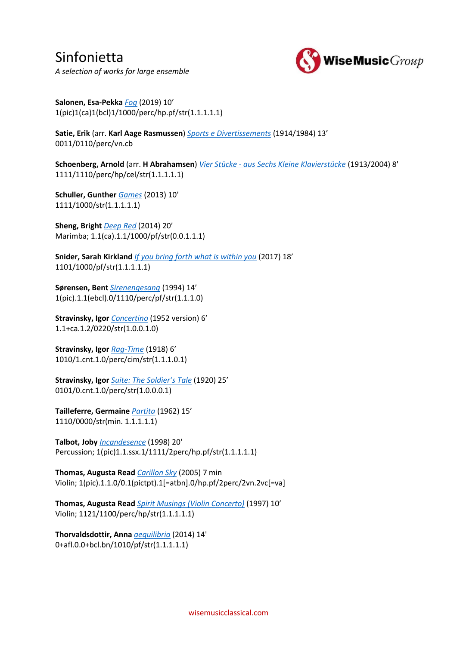### Sinfonietta *A selection of works for large ensemble*



**Salonen, Esa-Pekka** *[Fog](https://www.wisemusicclassical.com/work/59426/Fog--Esa-Pekka-Salonen/)* (2019) 10' 1(pic)1(ca)1(bcl)1/1000/perc/hp.pf/str(1.1.1.1.1)

**Satie, Erik** (arr. **Karl Aage Rasmussen**) *[Sports e Divertissements](https://www.wisemusicclassical.com/work/46190/Satie-Sports-e-Divertissement--Erik-Satie/)* (1914/1984) 13' 0011/0110/perc/vn.cb

**Schoenberg, Arnold** (arr. **H Abrahamsen**) *Vier Stücke - [aus Sechs Kleine Klavierstücke](https://www.wisemusicclassical.com/work/21867/Vier-Stucke---aus-6-Kleine-Klavierstucke--Arnold-Schoenberg/)* (1913/2004) 8' 1111/1110/perc/hp/cel/str(1.1.1.1.1)

**Schuller, Gunther** *[Games](https://www.wisemusicclassical.com/work/49326/Games--Gunther-Schuller/)* (2013) 10' 1111/1000/str(1.1.1.1.1)

**Sheng, Bright** *[Deep Red](https://www.wisemusicclassical.com/work/49714/Deep-Red--Bright-Sheng/)* (2014) 20' Marimba; 1.1(ca).1.1/1000/pf/str(0.0.1.1.1)

**Snider, Sarah Kirkland** *[If you bring forth what is within you](https://www.wisemusicclassical.com/work/60130/If-you-bring-forth-what-is-within-you-Suite-from-The-Blue-Hour--Sarah-Kirkland-Snider/)* (2017) 18' 1101/1000/pf/str(1.1.1.1.1)

**Sørensen, Bent** *[Sirenengesang](https://www.wisemusicclassical.com/work/19193/Sirenengesang--Bent-S%C3%B8rensen/)* (1994) 14' 1(pic).1.1(ebcl).0/1110/perc/pf/str(1.1.1.0)

**Stravinsky, Igor** *[Concertino](https://www.wisemusicclassical.com/work/58845/Concertino-1952-version-for-12-instruments--Igor-Stravinsky/)* (1952 version) 6' 1.1+ca.1.2/0220/str(1.0.0.1.0)

**Stravinsky, Igor** *[Rag-Time](https://www.wisemusicclassical.com/work/7877/Rag-Time--Igor-Stravinsky/)* (1918) 6' 1010/1.cnt.1.0/perc/cim/str(1.1.1.0.1)

**Stravinsky, Igor** *[Suite: The Soldier's Tale](https://www.wisemusicclassical.com/work/7878/Suite-The-Soldiers-Tale-LHistoire-du-Soldat--Igor-Stravinsky/)* (1920) 25' 0101/0.cnt.1.0/perc/str(1.0.0.0.1)

**Tailleferre, Germaine** *[Partita](https://www.wisemusicclassical.com/work/60488/Partita--Germaine-Tailleferre/)* (1962) 15' 1110/0000/str(min. 1.1.1.1.1)

**Talbot, Joby** *[Incandesence](https://www.wisemusicclassical.com/work/11287/Incandescence--Joby-Talbot/)* (1998) 20' Percussion; 1(pic)1.1.ssx.1/1111/2perc/hp.pf/str(1.1.1.1.1)

**Thomas, Augusta Read** *[Carillon Sky](https://www.wisemusicclassical.com/work/33821/Carillon-Sky--Augusta-Read-Thomas/)* (2005) 7 min Violin; 1(pic).1.1.0/0.1(pictpt).1[=atbn].0/hp.pf/2perc/2vn.2vc[=va]

**Thomas, Augusta Read** *[Spirit Musings \(Violin Concerto\)](https://www.wisemusicclassical.com/work/33881/Spirit-Musings--Violin-Concerto--Augusta-Read-Thomas/)* (1997) 10' Violin; 1121/1100/perc/hp/str(1.1.1.1.1)

**Thorvaldsdottir, Anna** *[aequilibria](https://www.wisemusicclassical.com/work/57447/aequilibria--Anna-Thorvaldsdottir/)* (2014) 14' 0+afl.0.0+bcl.bn/1010/pf/str(1.1.1.1.1)